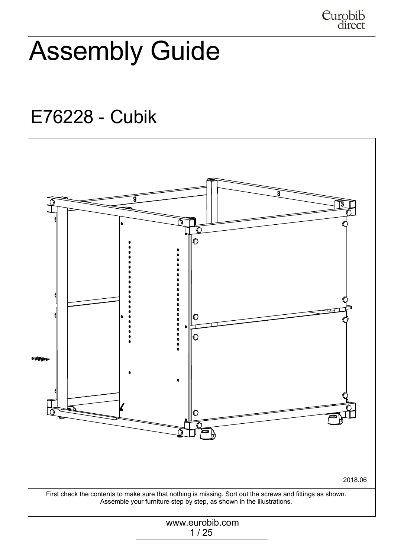#### E76228 - Cubik

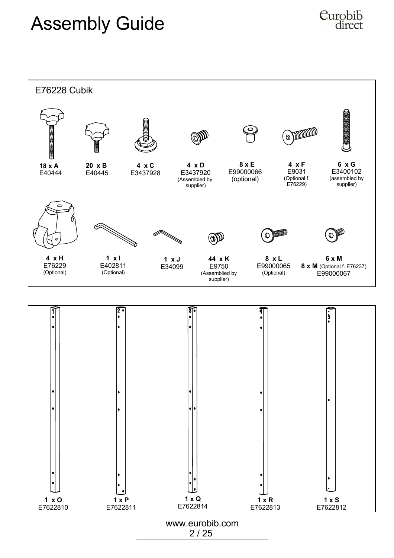**1 x O** E7622810

**1 x P** E7622811



www.eurobib.com 2 / 25

**1 x R** E7622813

**1 x S** E7622812

**1 x Q** E7622814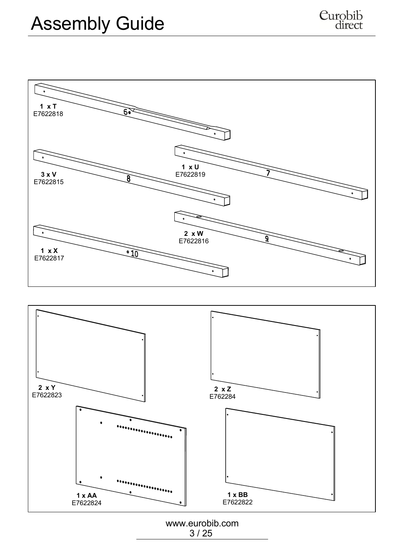

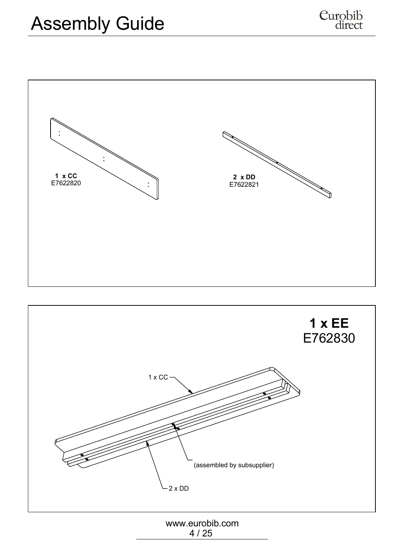



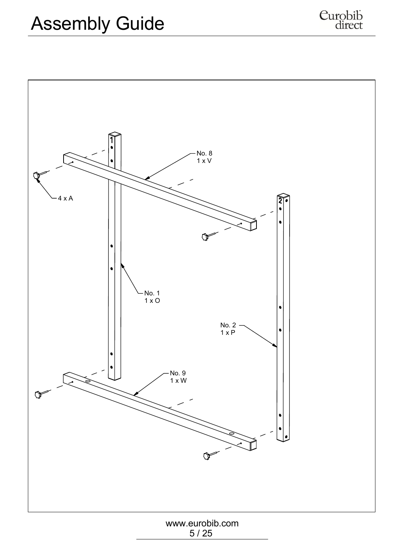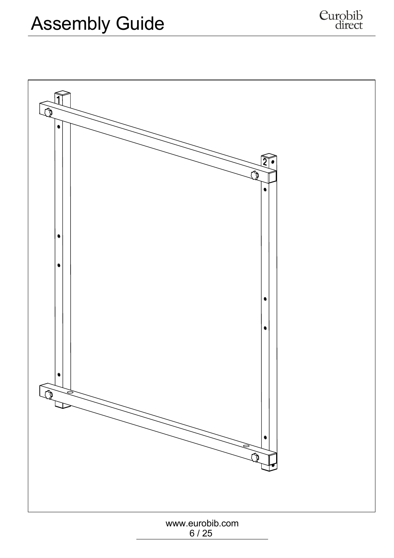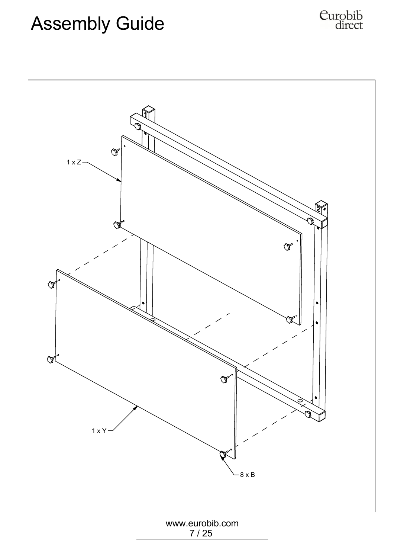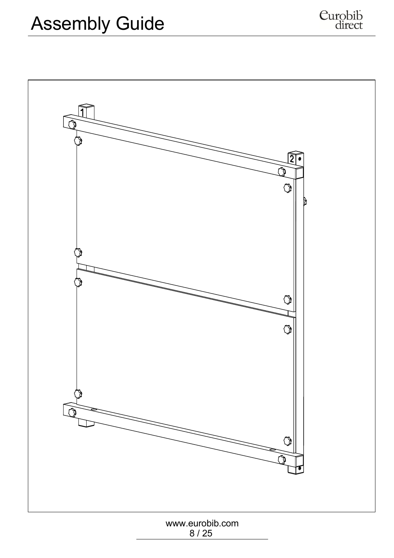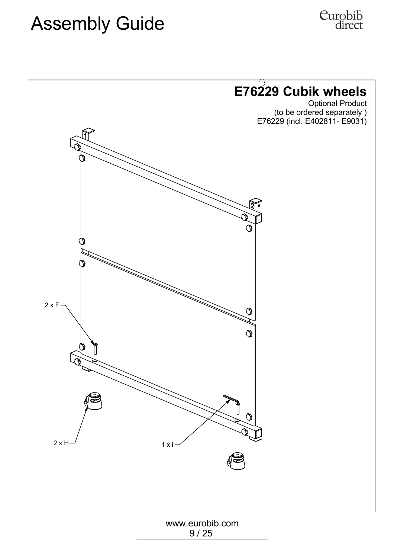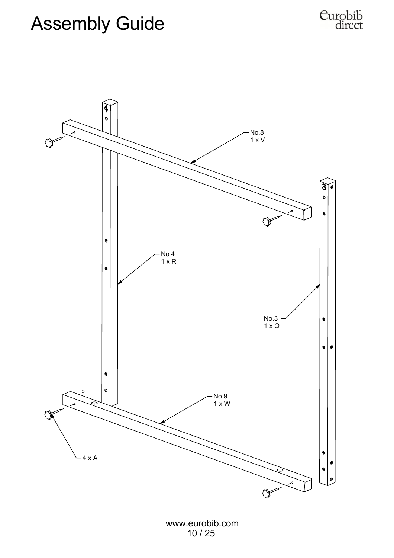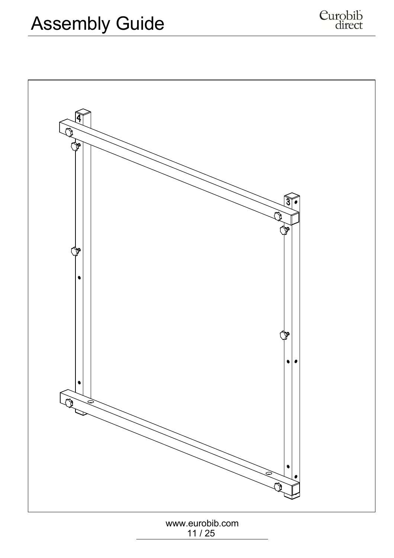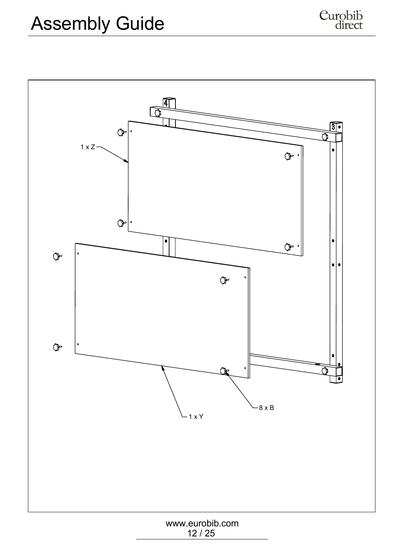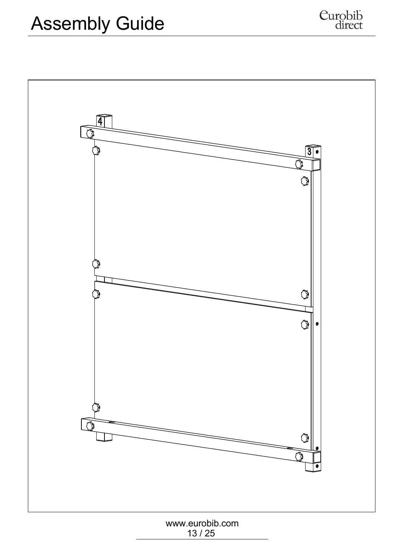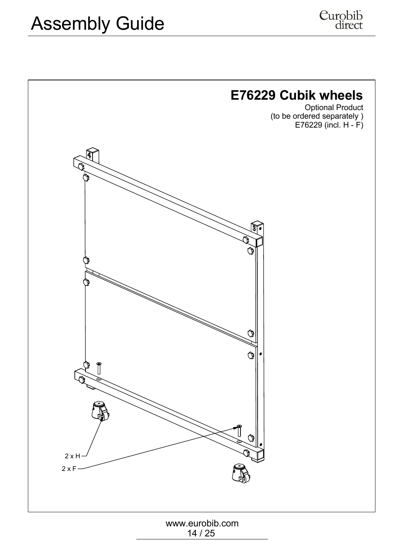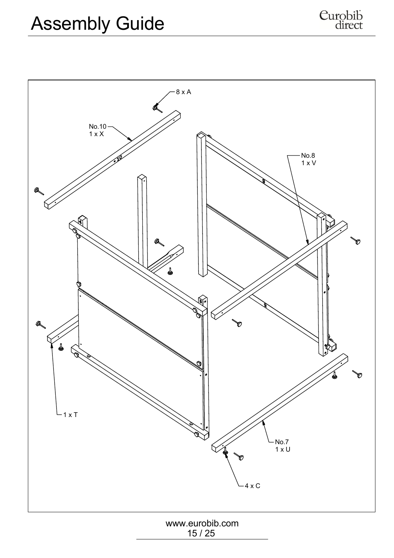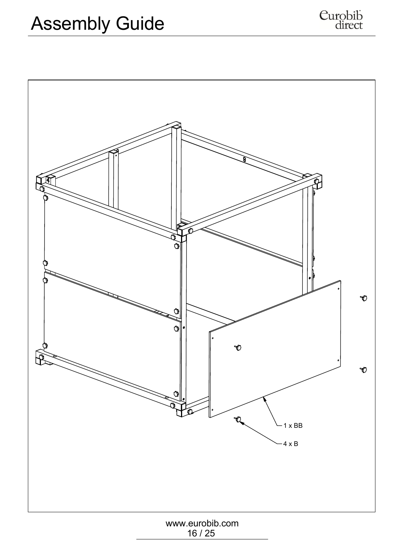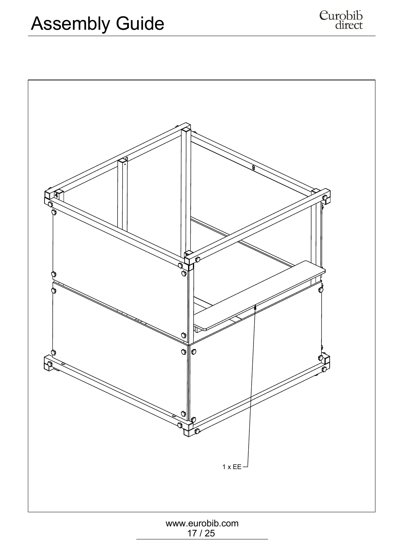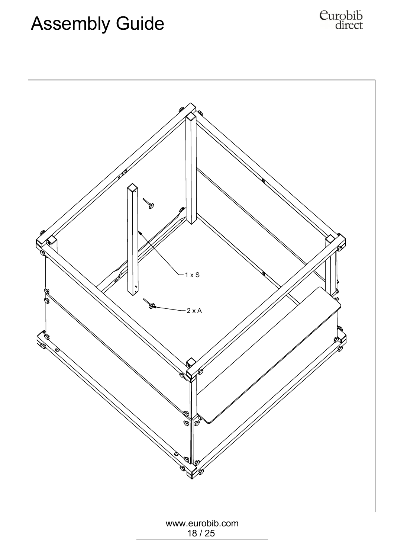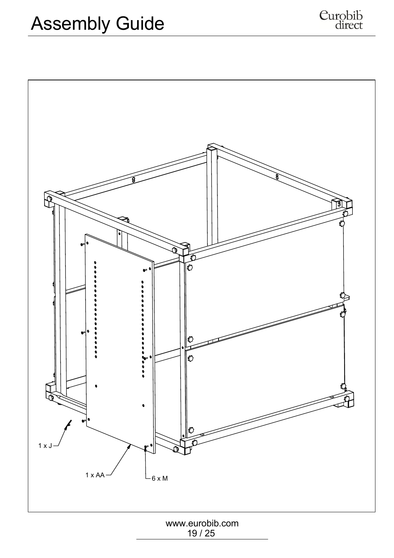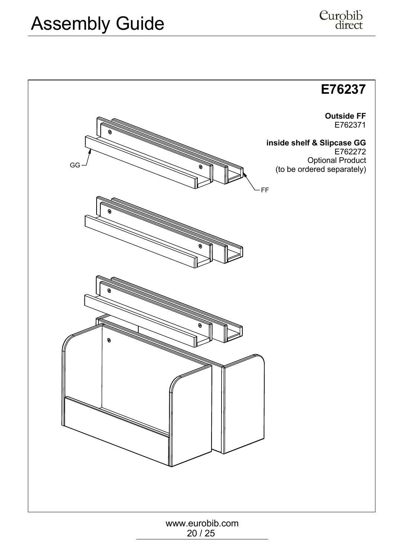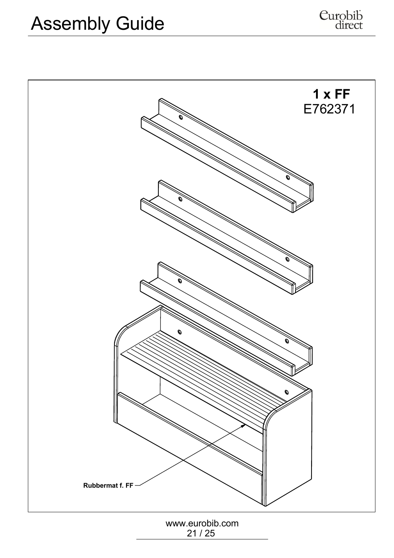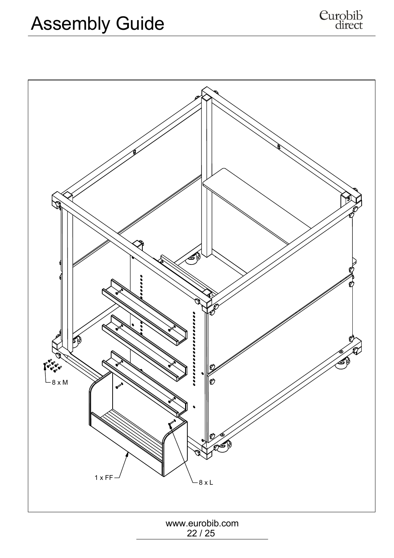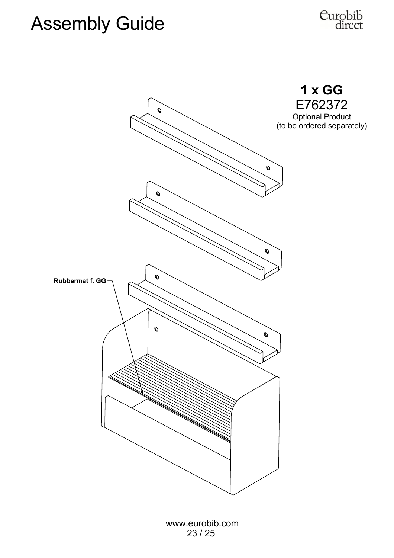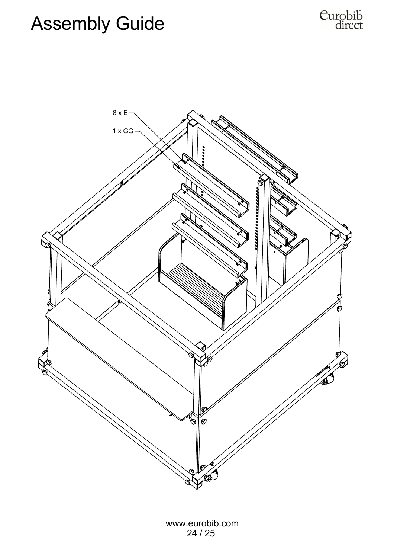